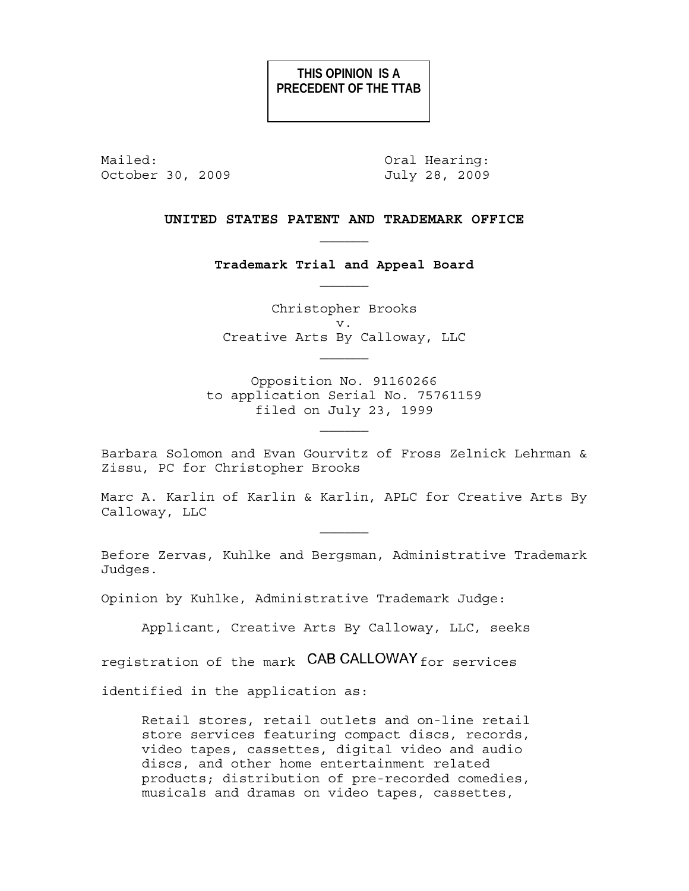# **THIS OPINION IS A PRECEDENT OF THE TTAB**

Mailed: 0ral Hearing: October 30, 2009 July 28, 2009

# **UNITED STATES PATENT AND TRADEMARK OFFICE**   $\mathcal{L}_\text{max}$

**Trademark Trial and Appeal Board** 

Christopher Brooks v. Creative Arts By Calloway, LLC

Opposition No. 91160266 to application Serial No. 75761159 filed on July 23, 1999

Barbara Solomon and Evan Gourvitz of Fross Zelnick Lehrman & Zissu, PC for Christopher Brooks

Marc A. Karlin of Karlin & Karlin, APLC for Creative Arts By Calloway, LLC

 $\mathcal{L}_\text{max}$ 

Before Zervas, Kuhlke and Bergsman, Administrative Trademark Judges.

Opinion by Kuhlke, Administrative Trademark Judge:

Applicant, Creative Arts By Calloway, LLC, seeks

registration of the mark CAB CALLOWAY for services

identified in the application as:

Retail stores, retail outlets and on-line retail store services featuring compact discs, records, video tapes, cassettes, digital video and audio discs, and other home entertainment related products; distribution of pre-recorded comedies, musicals and dramas on video tapes, cassettes,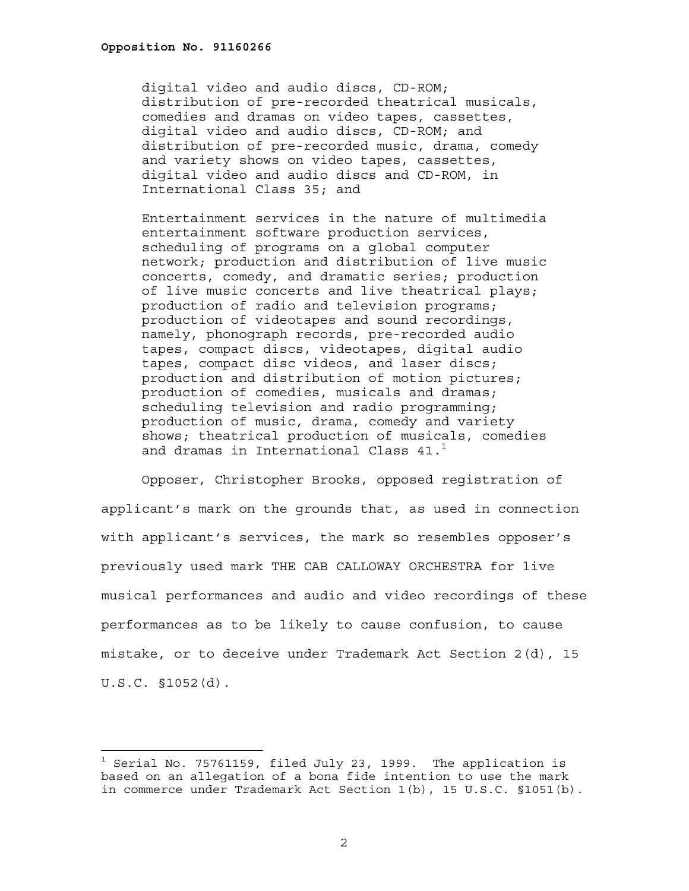÷.

digital video and audio discs, CD-ROM; distribution of pre-recorded theatrical musicals, comedies and dramas on video tapes, cassettes, digital video and audio discs, CD-ROM; and distribution of pre-recorded music, drama, comedy and variety shows on video tapes, cassettes, digital video and audio discs and CD-ROM, in International Class 35; and

Entertainment services in the nature of multimedia entertainment software production services, scheduling of programs on a global computer network; production and distribution of live music concerts, comedy, and dramatic series; production of live music concerts and live theatrical plays; production of radio and television programs; production of videotapes and sound recordings, namely, phonograph records, pre-recorded audio tapes, compact discs, videotapes, digital audio tapes, compact disc videos, and laser discs; production and distribution of motion pictures; production of comedies, musicals and dramas; scheduling television and radio programming; production of music, drama, comedy and variety shows; theatrical production of musicals, comedies and dramas in International Class 41.<sup>1</sup>

 Opposer, Christopher Brooks, opposed registration of applicant's mark on the grounds that, as used in connection with applicant's services, the mark so resembles opposer's previously used mark THE CAB CALLOWAY ORCHESTRA for live musical performances and audio and video recordings of these performances as to be likely to cause confusion, to cause mistake, or to deceive under Trademark Act Section 2(d), 15 U.S.C. §1052(d).

 $^{\rm 1}$  Serial No. 75761159, filed July 23, 1999. The application is based on an allegation of a bona fide intention to use the mark in commerce under Trademark Act Section 1(b), 15 U.S.C. §1051(b).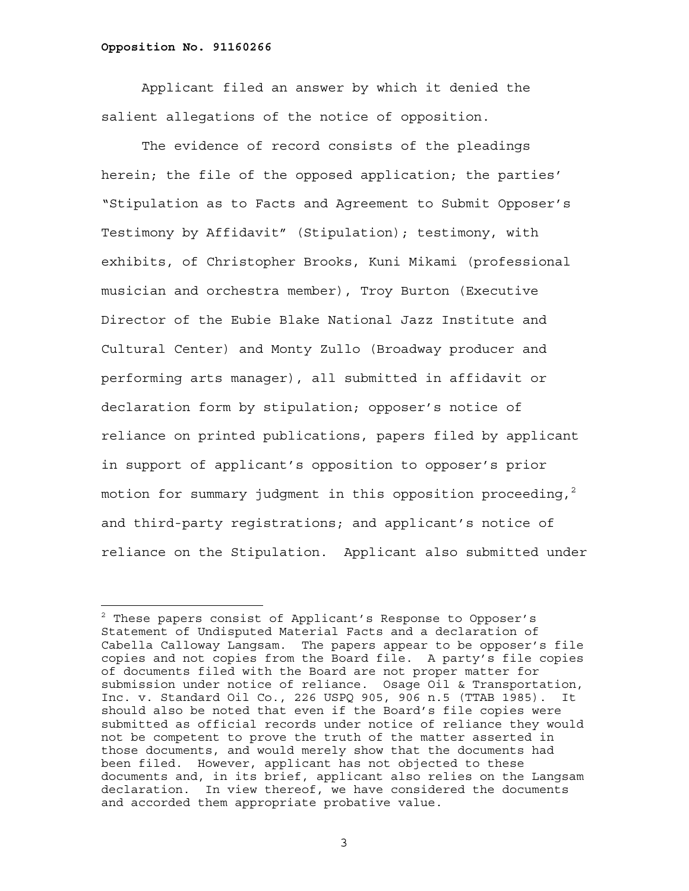÷.

Applicant filed an answer by which it denied the salient allegations of the notice of opposition.

The evidence of record consists of the pleadings herein; the file of the opposed application; the parties' "Stipulation as to Facts and Agreement to Submit Opposer's Testimony by Affidavit" (Stipulation); testimony, with exhibits, of Christopher Brooks, Kuni Mikami (professional musician and orchestra member), Troy Burton (Executive Director of the Eubie Blake National Jazz Institute and Cultural Center) and Monty Zullo (Broadway producer and performing arts manager), all submitted in affidavit or declaration form by stipulation; opposer's notice of reliance on printed publications, papers filed by applicant in support of applicant's opposition to opposer's prior motion for summary judgment in this opposition proceeding,  $2$ and third-party registrations; and applicant's notice of reliance on the Stipulation. Applicant also submitted under

 $^{\text{2}}$  These papers consist of Applicant's Response to Opposer's Statement of Undisputed Material Facts and a declaration of Cabella Calloway Langsam. The papers appear to be opposer's file copies and not copies from the Board file. A party's file copies of documents filed with the Board are not proper matter for submission under notice of reliance. Osage Oil & Transportation, Inc. v. Standard Oil Co., 226 USPQ 905, 906 n.5 (TTAB 1985). It should also be noted that even if the Board's file copies were submitted as official records under notice of reliance they would not be competent to prove the truth of the matter asserted in those documents, and would merely show that the documents had been filed. However, applicant has not objected to these documents and, in its brief, applicant also relies on the Langsam declaration. In view thereof, we have considered the documents and accorded them appropriate probative value.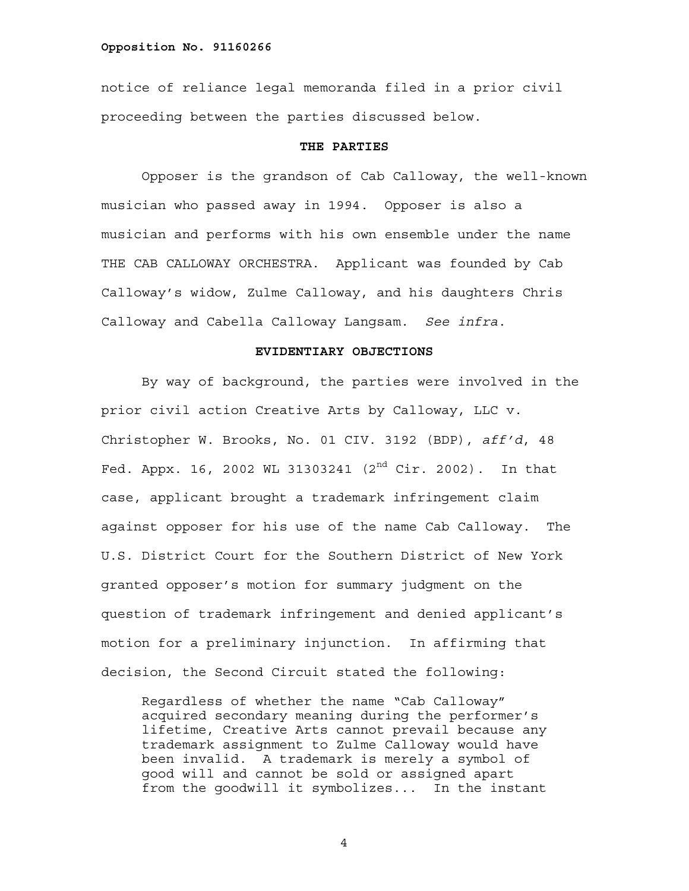notice of reliance legal memoranda filed in a prior civil proceeding between the parties discussed below.

### **THE PARTIES**

Opposer is the grandson of Cab Calloway, the well-known musician who passed away in 1994. Opposer is also a musician and performs with his own ensemble under the name THE CAB CALLOWAY ORCHESTRA. Applicant was founded by Cab Calloway's widow, Zulme Calloway, and his daughters Chris Calloway and Cabella Calloway Langsam. *See infra*.

# **EVIDENTIARY OBJECTIONS**

By way of background, the parties were involved in the prior civil action Creative Arts by Calloway, LLC v. Christopher W. Brooks, No. 01 CIV. 3192 (BDP), *aff'd*, 48 Fed. Appx. 16, 2002 WL 31303241  $(2^{nd}$  Cir. 2002). In that case, applicant brought a trademark infringement claim against opposer for his use of the name Cab Calloway. The U.S. District Court for the Southern District of New York granted opposer's motion for summary judgment on the question of trademark infringement and denied applicant's motion for a preliminary injunction. In affirming that decision, the Second Circuit stated the following:

Regardless of whether the name "Cab Calloway" acquired secondary meaning during the performer's lifetime, Creative Arts cannot prevail because any trademark assignment to Zulme Calloway would have been invalid. A trademark is merely a symbol of good will and cannot be sold or assigned apart from the goodwill it symbolizes... In the instant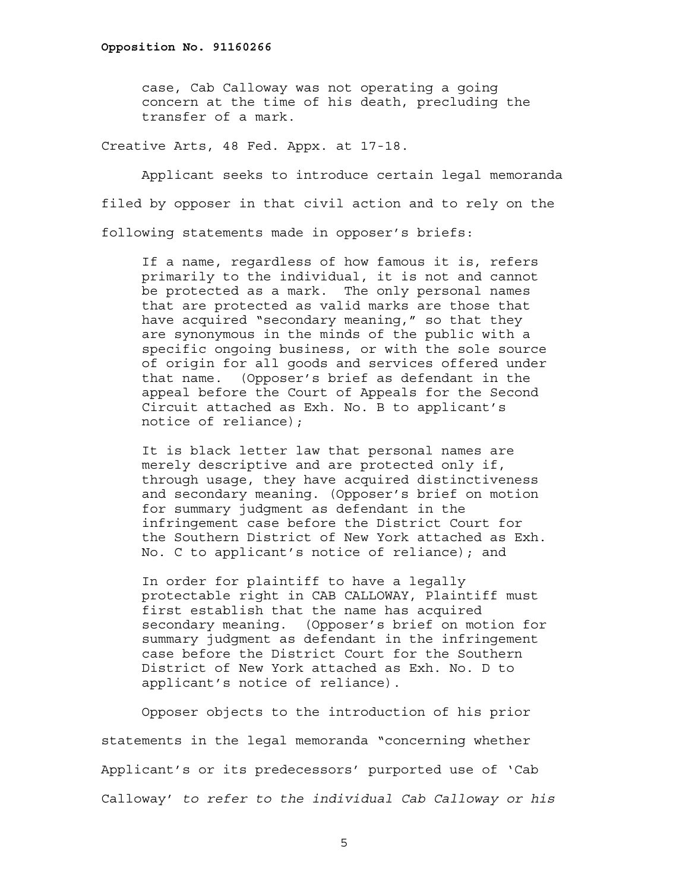case, Cab Calloway was not operating a going concern at the time of his death, precluding the transfer of a mark.

Creative Arts, 48 Fed. Appx. at 17-18.

Applicant seeks to introduce certain legal memoranda filed by opposer in that civil action and to rely on the following statements made in opposer's briefs:

If a name, regardless of how famous it is, refers primarily to the individual, it is not and cannot be protected as a mark. The only personal names that are protected as valid marks are those that have acquired "secondary meaning," so that they are synonymous in the minds of the public with a specific ongoing business, or with the sole source of origin for all goods and services offered under that name. (Opposer's brief as defendant in the appeal before the Court of Appeals for the Second Circuit attached as Exh. No. B to applicant's notice of reliance);

It is black letter law that personal names are merely descriptive and are protected only if, through usage, they have acquired distinctiveness and secondary meaning. (Opposer's brief on motion for summary judgment as defendant in the infringement case before the District Court for the Southern District of New York attached as Exh. No. C to applicant's notice of reliance); and

In order for plaintiff to have a legally protectable right in CAB CALLOWAY, Plaintiff must first establish that the name has acquired secondary meaning. (Opposer's brief on motion for summary judgment as defendant in the infringement case before the District Court for the Southern District of New York attached as Exh. No. D to applicant's notice of reliance).

Opposer objects to the introduction of his prior statements in the legal memoranda "concerning whether Applicant's or its predecessors' purported use of 'Cab Calloway' *to refer to the individual Cab Calloway or his*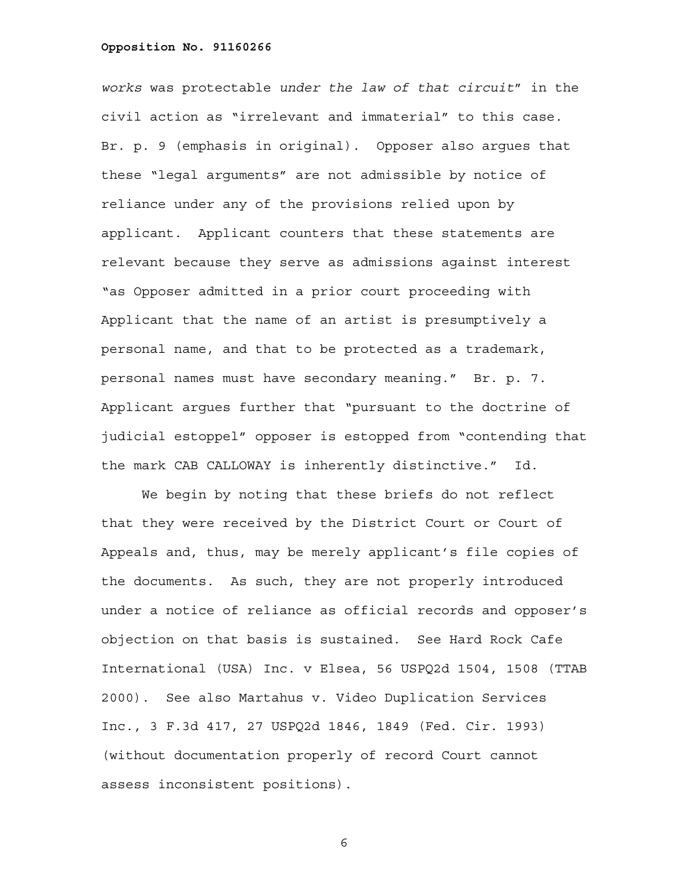*works* was protectable *under the law of that circuit*" in the civil action as "irrelevant and immaterial" to this case. Br. p. 9 (emphasis in original). Opposer also argues that these "legal arguments" are not admissible by notice of reliance under any of the provisions relied upon by applicant. Applicant counters that these statements are relevant because they serve as admissions against interest "as Opposer admitted in a prior court proceeding with Applicant that the name of an artist is presumptively a personal name, and that to be protected as a trademark, personal names must have secondary meaning." Br. p. 7. Applicant argues further that "pursuant to the doctrine of judicial estoppel" opposer is estopped from "contending that the mark CAB CALLOWAY is inherently distinctive." Id.

We begin by noting that these briefs do not reflect that they were received by the District Court or Court of Appeals and, thus, may be merely applicant's file copies of the documents. As such, they are not properly introduced under a notice of reliance as official records and opposer's objection on that basis is sustained. See Hard Rock Cafe International (USA) Inc. v Elsea, 56 USPQ2d 1504, 1508 (TTAB 2000). See also Martahus v. Video Duplication Services Inc., 3 F.3d 417, 27 USPQ2d 1846, 1849 (Fed. Cir. 1993) (without documentation properly of record Court cannot assess inconsistent positions).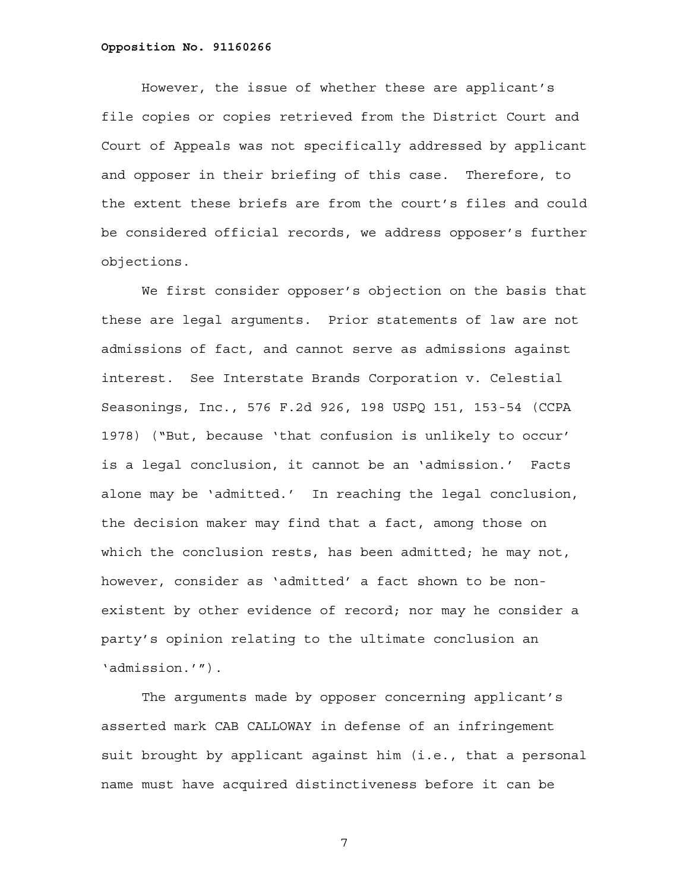However, the issue of whether these are applicant's file copies or copies retrieved from the District Court and Court of Appeals was not specifically addressed by applicant and opposer in their briefing of this case. Therefore, to the extent these briefs are from the court's files and could be considered official records, we address opposer's further objections.

We first consider opposer's objection on the basis that these are legal arguments. Prior statements of law are not admissions of fact, and cannot serve as admissions against interest. See Interstate Brands Corporation v. Celestial Seasonings, Inc., 576 F.2d 926, 198 USPQ 151, 153-54 (CCPA 1978) ("But, because 'that confusion is unlikely to occur' is a legal conclusion, it cannot be an 'admission.' Facts alone may be 'admitted.' In reaching the legal conclusion, the decision maker may find that a fact, among those on which the conclusion rests, has been admitted; he may not, however, consider as 'admitted' a fact shown to be nonexistent by other evidence of record; nor may he consider a party's opinion relating to the ultimate conclusion an 'admission.'").

The arguments made by opposer concerning applicant's asserted mark CAB CALLOWAY in defense of an infringement suit brought by applicant against him (i.e., that a personal name must have acquired distinctiveness before it can be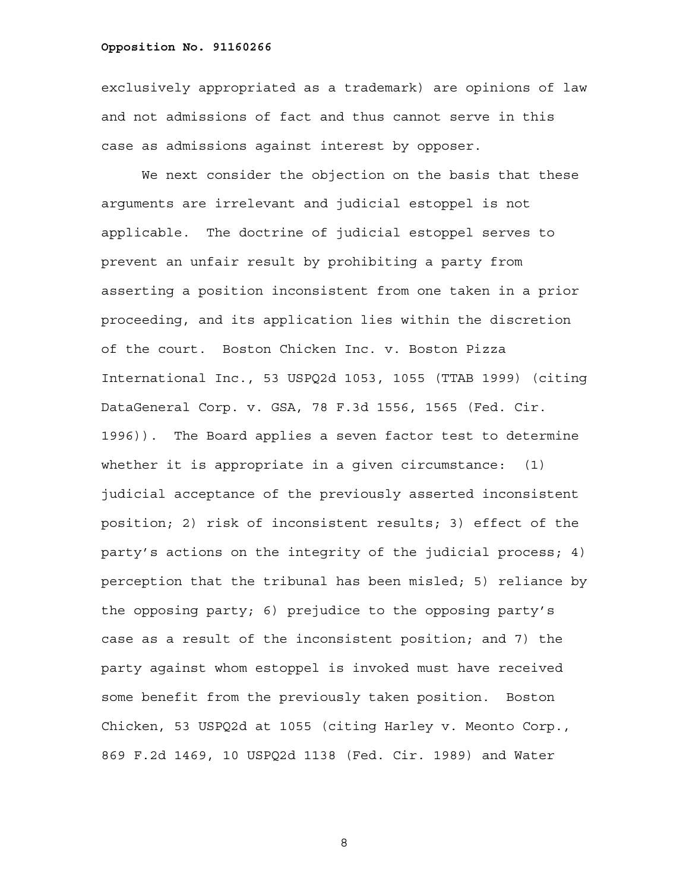exclusively appropriated as a trademark) are opinions of law and not admissions of fact and thus cannot serve in this case as admissions against interest by opposer.

We next consider the objection on the basis that these arguments are irrelevant and judicial estoppel is not applicable. The doctrine of judicial estoppel serves to prevent an unfair result by prohibiting a party from asserting a position inconsistent from one taken in a prior proceeding, and its application lies within the discretion of the court. Boston Chicken Inc. v. Boston Pizza International Inc., 53 USPQ2d 1053, 1055 (TTAB 1999) (citing DataGeneral Corp. v. GSA, 78 F.3d 1556, 1565 (Fed. Cir. 1996)). The Board applies a seven factor test to determine whether it is appropriate in a given circumstance: (1) judicial acceptance of the previously asserted inconsistent position; 2) risk of inconsistent results; 3) effect of the party's actions on the integrity of the judicial process; 4) perception that the tribunal has been misled; 5) reliance by the opposing party; 6) prejudice to the opposing party's case as a result of the inconsistent position; and 7) the party against whom estoppel is invoked must have received some benefit from the previously taken position. Boston Chicken, 53 USPQ2d at 1055 (citing Harley v. Meonto Corp., 869 F.2d 1469, 10 USPQ2d 1138 (Fed. Cir. 1989) and Water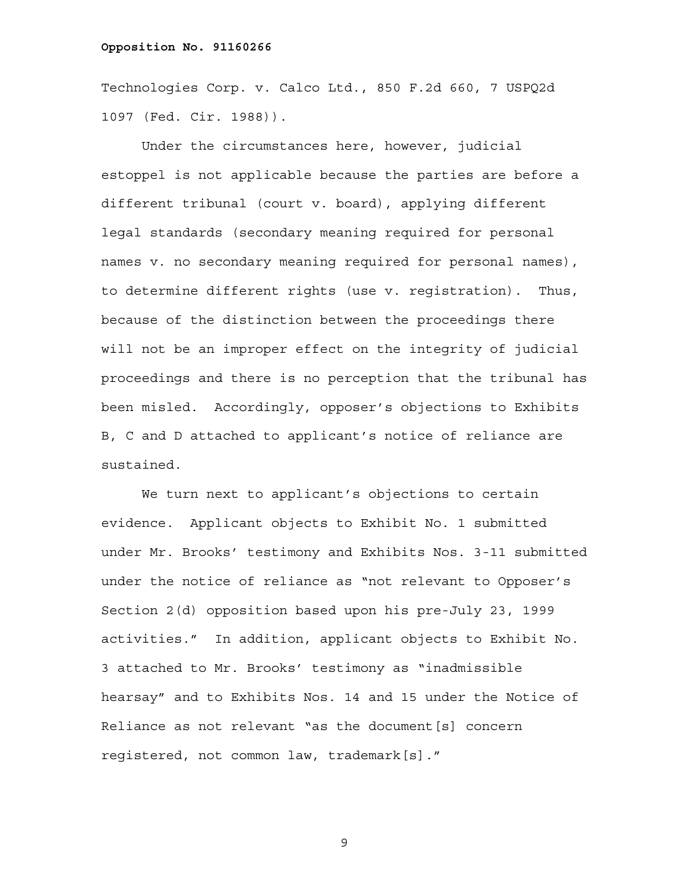Technologies Corp. v. Calco Ltd., 850 F.2d 660, 7 USPQ2d 1097 (Fed. Cir. 1988)).

Under the circumstances here, however, judicial estoppel is not applicable because the parties are before a different tribunal (court v. board), applying different legal standards (secondary meaning required for personal names v. no secondary meaning required for personal names), to determine different rights (use v. registration). Thus, because of the distinction between the proceedings there will not be an improper effect on the integrity of judicial proceedings and there is no perception that the tribunal has been misled. Accordingly, opposer's objections to Exhibits B, C and D attached to applicant's notice of reliance are sustained.

We turn next to applicant's objections to certain evidence. Applicant objects to Exhibit No. 1 submitted under Mr. Brooks' testimony and Exhibits Nos. 3-11 submitted under the notice of reliance as "not relevant to Opposer's Section 2(d) opposition based upon his pre-July 23, 1999 activities." In addition, applicant objects to Exhibit No. 3 attached to Mr. Brooks' testimony as "inadmissible hearsay" and to Exhibits Nos. 14 and 15 under the Notice of Reliance as not relevant "as the document[s] concern registered, not common law, trademark[s]."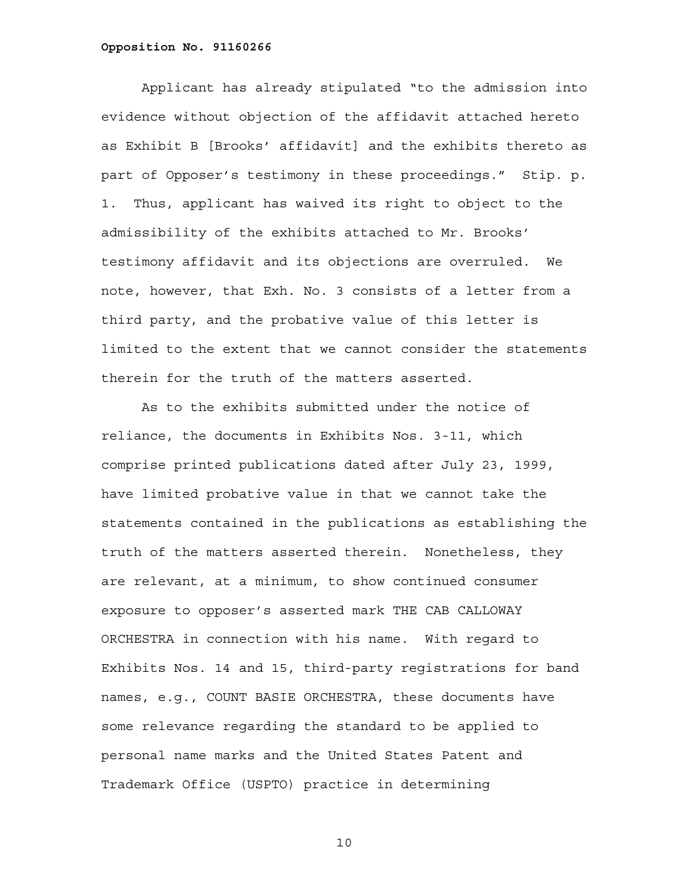Applicant has already stipulated "to the admission into evidence without objection of the affidavit attached hereto as Exhibit B [Brooks' affidavit] and the exhibits thereto as part of Opposer's testimony in these proceedings." Stip. p. 1. Thus, applicant has waived its right to object to the admissibility of the exhibits attached to Mr. Brooks' testimony affidavit and its objections are overruled. We note, however, that Exh. No. 3 consists of a letter from a third party, and the probative value of this letter is limited to the extent that we cannot consider the statements therein for the truth of the matters asserted.

As to the exhibits submitted under the notice of reliance, the documents in Exhibits Nos. 3-11, which comprise printed publications dated after July 23, 1999, have limited probative value in that we cannot take the statements contained in the publications as establishing the truth of the matters asserted therein. Nonetheless, they are relevant, at a minimum, to show continued consumer exposure to opposer's asserted mark THE CAB CALLOWAY ORCHESTRA in connection with his name. With regard to Exhibits Nos. 14 and 15, third-party registrations for band names, e.g., COUNT BASIE ORCHESTRA, these documents have some relevance regarding the standard to be applied to personal name marks and the United States Patent and Trademark Office (USPTO) practice in determining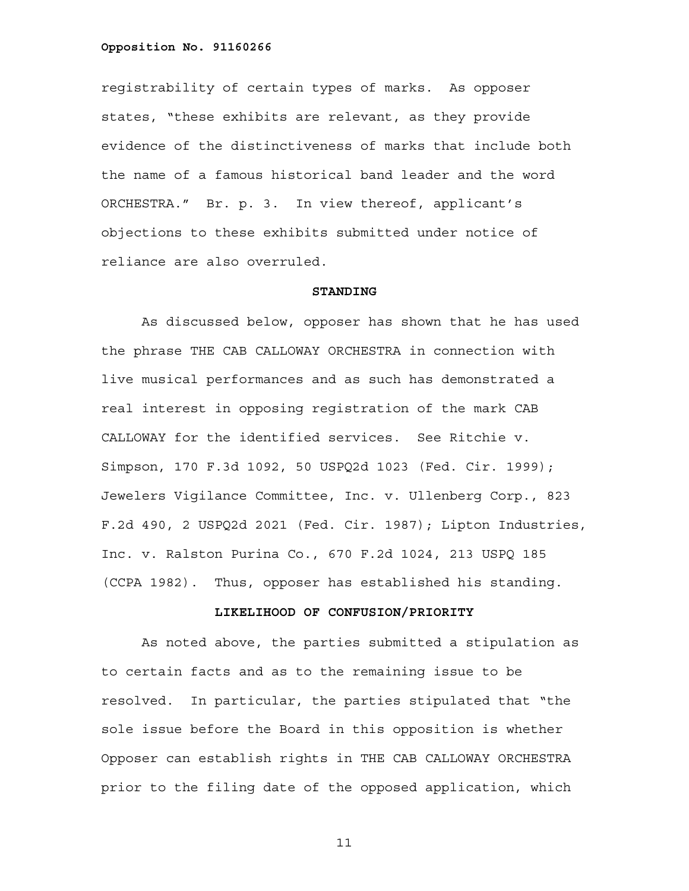registrability of certain types of marks. As opposer states, "these exhibits are relevant, as they provide evidence of the distinctiveness of marks that include both the name of a famous historical band leader and the word ORCHESTRA." Br. p. 3. In view thereof, applicant's objections to these exhibits submitted under notice of reliance are also overruled.

### **STANDING**

As discussed below, opposer has shown that he has used the phrase THE CAB CALLOWAY ORCHESTRA in connection with live musical performances and as such has demonstrated a real interest in opposing registration of the mark CAB CALLOWAY for the identified services. See Ritchie v. Simpson, 170 F.3d 1092, 50 USPQ2d 1023 (Fed. Cir. 1999); Jewelers Vigilance Committee, Inc. v. Ullenberg Corp., 823 F.2d 490, 2 USPQ2d 2021 (Fed. Cir. 1987); Lipton Industries, Inc. v. Ralston Purina Co., 670 F.2d 1024, 213 USPQ 185 (CCPA 1982). Thus, opposer has established his standing.

# **LIKELIHOOD OF CONFUSION/PRIORITY**

As noted above, the parties submitted a stipulation as to certain facts and as to the remaining issue to be resolved. In particular, the parties stipulated that "the sole issue before the Board in this opposition is whether Opposer can establish rights in THE CAB CALLOWAY ORCHESTRA prior to the filing date of the opposed application, which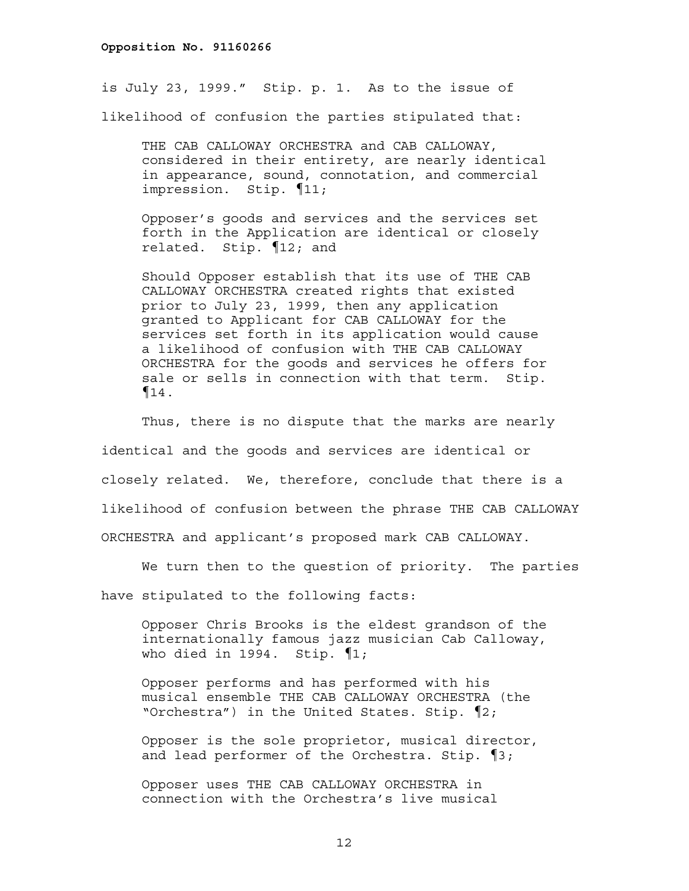is July 23, 1999." Stip. p. 1. As to the issue of likelihood of confusion the parties stipulated that:

THE CAB CALLOWAY ORCHESTRA and CAB CALLOWAY, considered in their entirety, are nearly identical in appearance, sound, connotation, and commercial impression. Stip. ¶11;

Opposer's goods and services and the services set forth in the Application are identical or closely related. Stip. ¶12; and

Should Opposer establish that its use of THE CAB CALLOWAY ORCHESTRA created rights that existed prior to July 23, 1999, then any application granted to Applicant for CAB CALLOWAY for the services set forth in its application would cause a likelihood of confusion with THE CAB CALLOWAY ORCHESTRA for the goods and services he offers for sale or sells in connection with that term. Stip.  $\P_{14}$ .

Thus, there is no dispute that the marks are nearly identical and the goods and services are identical or closely related. We, therefore, conclude that there is a likelihood of confusion between the phrase THE CAB CALLOWAY ORCHESTRA and applicant's proposed mark CAB CALLOWAY.

We turn then to the question of priority. The parties

have stipulated to the following facts:

Opposer Chris Brooks is the eldest grandson of the internationally famous jazz musician Cab Calloway, who died in 1994. Stip. ¶1;

Opposer performs and has performed with his musical ensemble THE CAB CALLOWAY ORCHESTRA (the "Orchestra") in the United States. Stip. ¶2;

Opposer is the sole proprietor, musical director, and lead performer of the Orchestra. Stip. ¶3;

Opposer uses THE CAB CALLOWAY ORCHESTRA in connection with the Orchestra's live musical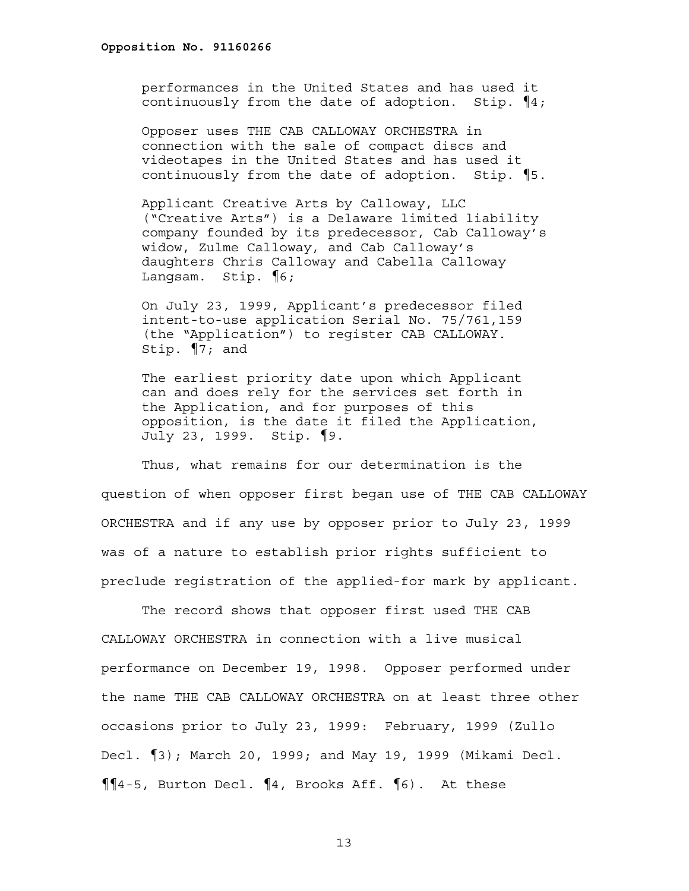performances in the United States and has used it continuously from the date of adoption. Stip. ¶4;

Opposer uses THE CAB CALLOWAY ORCHESTRA in connection with the sale of compact discs and videotapes in the United States and has used it continuously from the date of adoption. Stip. ¶5.

Applicant Creative Arts by Calloway, LLC ("Creative Arts") is a Delaware limited liability company founded by its predecessor, Cab Calloway's widow, Zulme Calloway, and Cab Calloway's daughters Chris Calloway and Cabella Calloway Langsam. Stip. ¶6;

On July 23, 1999, Applicant's predecessor filed intent-to-use application Serial No. 75/761,159 (the "Application") to register CAB CALLOWAY. Stip. ¶7; and

The earliest priority date upon which Applicant can and does rely for the services set forth in the Application, and for purposes of this opposition, is the date it filed the Application, July 23, 1999. Stip. ¶9.

Thus, what remains for our determination is the question of when opposer first began use of THE CAB CALLOWAY ORCHESTRA and if any use by opposer prior to July 23, 1999 was of a nature to establish prior rights sufficient to preclude registration of the applied-for mark by applicant.

The record shows that opposer first used THE CAB CALLOWAY ORCHESTRA in connection with a live musical performance on December 19, 1998. Opposer performed under the name THE CAB CALLOWAY ORCHESTRA on at least three other occasions prior to July 23, 1999: February, 1999 (Zullo Decl. ¶3); March 20, 1999; and May 19, 1999 (Mikami Decl. ¶¶4-5, Burton Decl. ¶4, Brooks Aff. ¶6). At these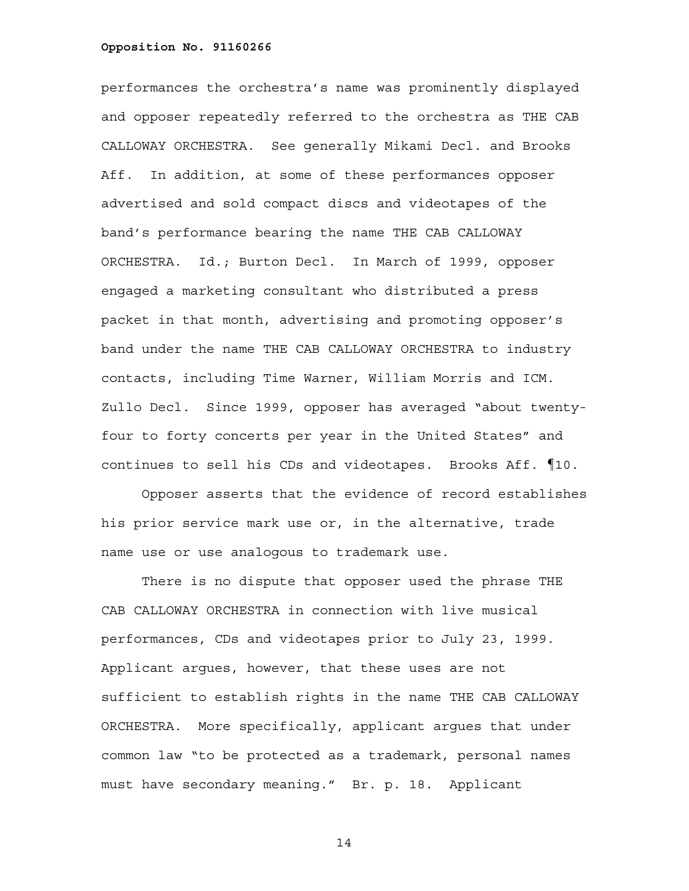performances the orchestra's name was prominently displayed and opposer repeatedly referred to the orchestra as THE CAB CALLOWAY ORCHESTRA. See generally Mikami Decl. and Brooks Aff. In addition, at some of these performances opposer advertised and sold compact discs and videotapes of the band's performance bearing the name THE CAB CALLOWAY ORCHESTRA. Id.; Burton Decl. In March of 1999, opposer engaged a marketing consultant who distributed a press packet in that month, advertising and promoting opposer's band under the name THE CAB CALLOWAY ORCHESTRA to industry contacts, including Time Warner, William Morris and ICM. Zullo Decl. Since 1999, opposer has averaged "about twentyfour to forty concerts per year in the United States" and continues to sell his CDs and videotapes. Brooks Aff. ¶10.

Opposer asserts that the evidence of record establishes his prior service mark use or, in the alternative, trade name use or use analogous to trademark use.

There is no dispute that opposer used the phrase THE CAB CALLOWAY ORCHESTRA in connection with live musical performances, CDs and videotapes prior to July 23, 1999. Applicant argues, however, that these uses are not sufficient to establish rights in the name THE CAB CALLOWAY ORCHESTRA. More specifically, applicant argues that under common law "to be protected as a trademark, personal names must have secondary meaning." Br. p. 18. Applicant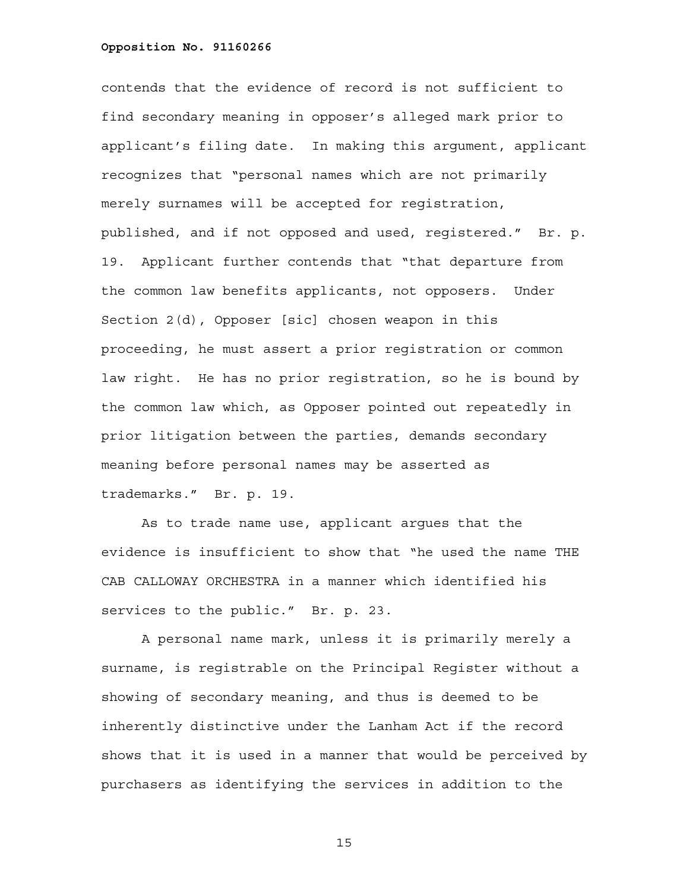contends that the evidence of record is not sufficient to find secondary meaning in opposer's alleged mark prior to applicant's filing date. In making this argument, applicant recognizes that "personal names which are not primarily merely surnames will be accepted for registration, published, and if not opposed and used, registered." Br. p. 19. Applicant further contends that "that departure from the common law benefits applicants, not opposers. Under Section 2(d), Opposer [sic] chosen weapon in this proceeding, he must assert a prior registration or common law right. He has no prior registration, so he is bound by the common law which, as Opposer pointed out repeatedly in prior litigation between the parties, demands secondary meaning before personal names may be asserted as trademarks." Br. p. 19.

As to trade name use, applicant argues that the evidence is insufficient to show that "he used the name THE CAB CALLOWAY ORCHESTRA in a manner which identified his services to the public." Br. p. 23.

A personal name mark, unless it is primarily merely a surname, is registrable on the Principal Register without a showing of secondary meaning, and thus is deemed to be inherently distinctive under the Lanham Act if the record shows that it is used in a manner that would be perceived by purchasers as identifying the services in addition to the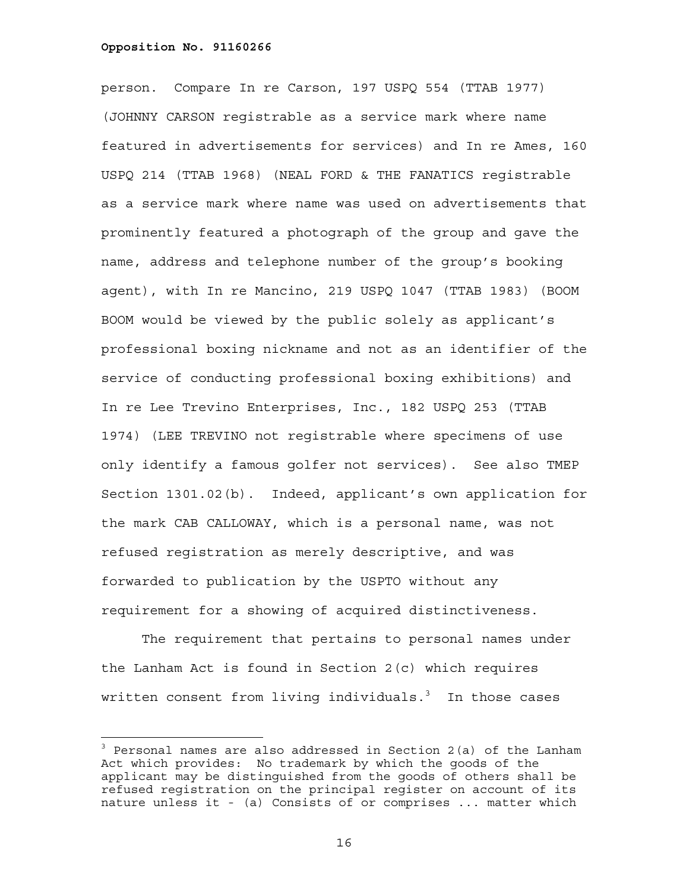÷.

person. Compare In re Carson, 197 USPQ 554 (TTAB 1977) (JOHNNY CARSON registrable as a service mark where name featured in advertisements for services) and In re Ames, 160 USPQ 214 (TTAB 1968) (NEAL FORD & THE FANATICS registrable as a service mark where name was used on advertisements that prominently featured a photograph of the group and gave the name, address and telephone number of the group's booking agent), with In re Mancino, 219 USPQ 1047 (TTAB 1983) (BOOM BOOM would be viewed by the public solely as applicant's professional boxing nickname and not as an identifier of the service of conducting professional boxing exhibitions) and In re Lee Trevino Enterprises, Inc., 182 USPQ 253 (TTAB 1974) (LEE TREVINO not registrable where specimens of use only identify a famous golfer not services). See also TMEP Section 1301.02(b). Indeed, applicant's own application for the mark CAB CALLOWAY, which is a personal name, was not refused registration as merely descriptive, and was forwarded to publication by the USPTO without any requirement for a showing of acquired distinctiveness.

The requirement that pertains to personal names under the Lanham Act is found in Section 2(c) which requires written consent from living individuals. $^3$  In those cases

<sup>&</sup>lt;sup>3</sup> Personal names are also addressed in Section 2(a) of the Lanham Act which provides: No trademark by which the goods of the applicant may be distinguished from the goods of others shall be refused registration on the principal register on account of its nature unless it - (a) Consists of or comprises ... matter which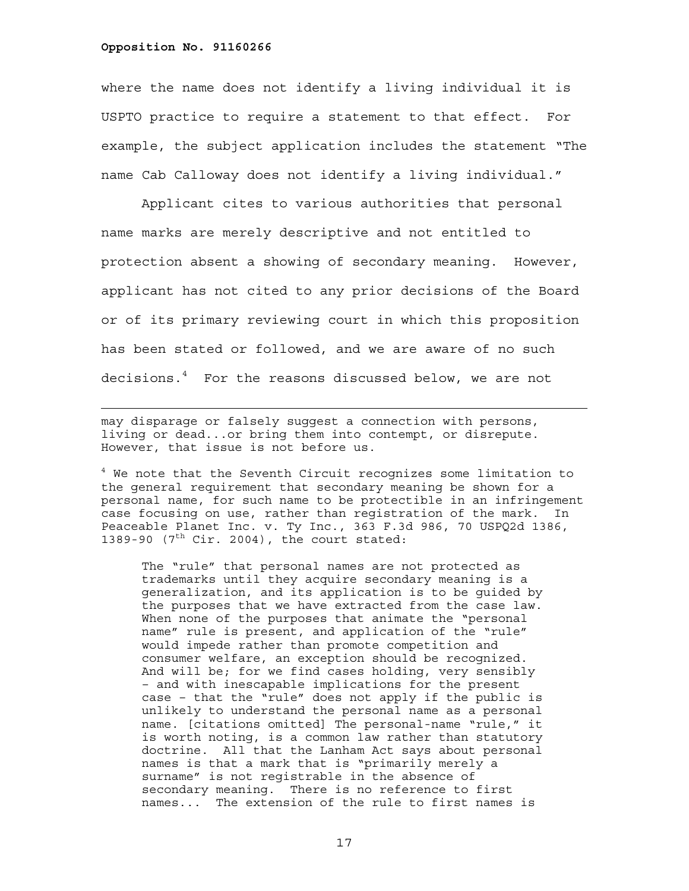÷.

where the name does not identify a living individual it is USPTO practice to require a statement to that effect. For example, the subject application includes the statement "The name Cab Calloway does not identify a living individual."

Applicant cites to various authorities that personal name marks are merely descriptive and not entitled to protection absent a showing of secondary meaning. However, applicant has not cited to any prior decisions of the Board or of its primary reviewing court in which this proposition has been stated or followed, and we are aware of no such decisions.4 For the reasons discussed below, we are not

may disparage or falsely suggest a connection with persons, living or dead...or bring them into contempt, or disrepute. However, that issue is not before us.

4 We note that the Seventh Circuit recognizes some limitation to the general requirement that secondary meaning be shown for a personal name, for such name to be protectible in an infringement case focusing on use, rather than registration of the mark. In Peaceable Planet Inc. v. Ty Inc., 363 F.3d 986, 70 USPQ2d 1386, 1389-90  $(7<sup>th</sup> Cir. 2004)$ , the court stated:

The "rule" that personal names are not protected as trademarks until they acquire secondary meaning is a generalization, and its application is to be guided by the purposes that we have extracted from the case law. When none of the purposes that animate the "personal name" rule is present, and application of the "rule" would impede rather than promote competition and consumer welfare, an exception should be recognized. And will be; for we find cases holding, very sensibly – and with inescapable implications for the present case – that the "rule" does not apply if the public is unlikely to understand the personal name as a personal name. [citations omitted] The personal-name "rule," it is worth noting, is a common law rather than statutory doctrine. All that the Lanham Act says about personal names is that a mark that is "primarily merely a surname" is not registrable in the absence of secondary meaning. There is no reference to first names... The extension of the rule to first names is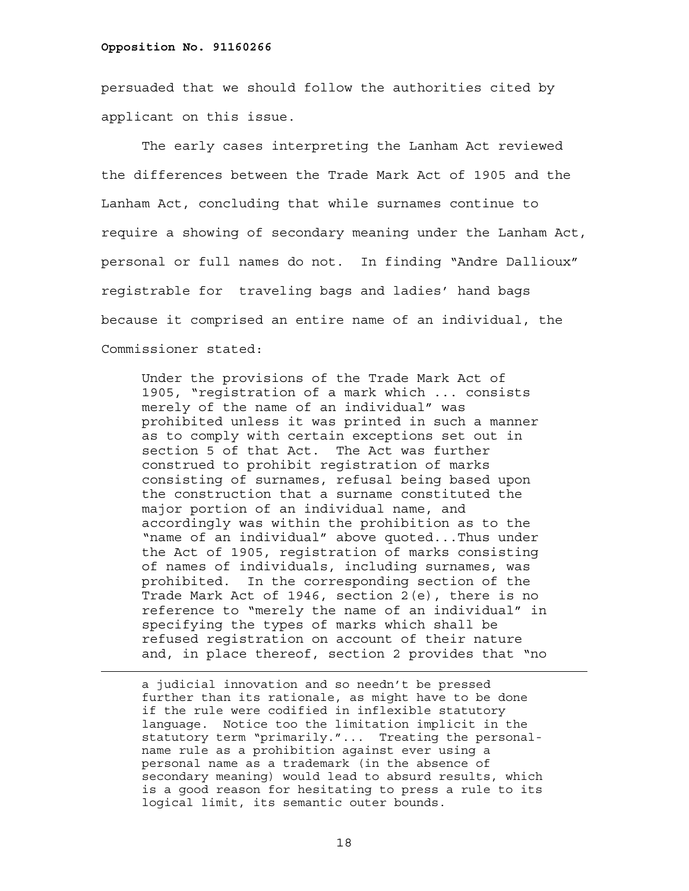persuaded that we should follow the authorities cited by applicant on this issue.

The early cases interpreting the Lanham Act reviewed the differences between the Trade Mark Act of 1905 and the Lanham Act, concluding that while surnames continue to require a showing of secondary meaning under the Lanham Act, personal or full names do not. In finding "Andre Dallioux" registrable for traveling bags and ladies' hand bags because it comprised an entire name of an individual, the Commissioner stated:

Under the provisions of the Trade Mark Act of 1905, "registration of a mark which ... consists merely of the name of an individual" was prohibited unless it was printed in such a manner as to comply with certain exceptions set out in section 5 of that Act. The Act was further construed to prohibit registration of marks consisting of surnames, refusal being based upon the construction that a surname constituted the major portion of an individual name, and accordingly was within the prohibition as to the "name of an individual" above quoted...Thus under the Act of 1905, registration of marks consisting of names of individuals, including surnames, was prohibited. In the corresponding section of the Trade Mark Act of 1946, section 2(e), there is no reference to "merely the name of an individual" in specifying the types of marks which shall be refused registration on account of their nature and, in place thereof, section 2 provides that "no

 a judicial innovation and so needn't be pressed further than its rationale, as might have to be done if the rule were codified in inflexible statutory language. Notice too the limitation implicit in the statutory term "primarily."... Treating the personalname rule as a prohibition against ever using a personal name as a trademark (in the absence of secondary meaning) would lead to absurd results, which is a good reason for hesitating to press a rule to its logical limit, its semantic outer bounds.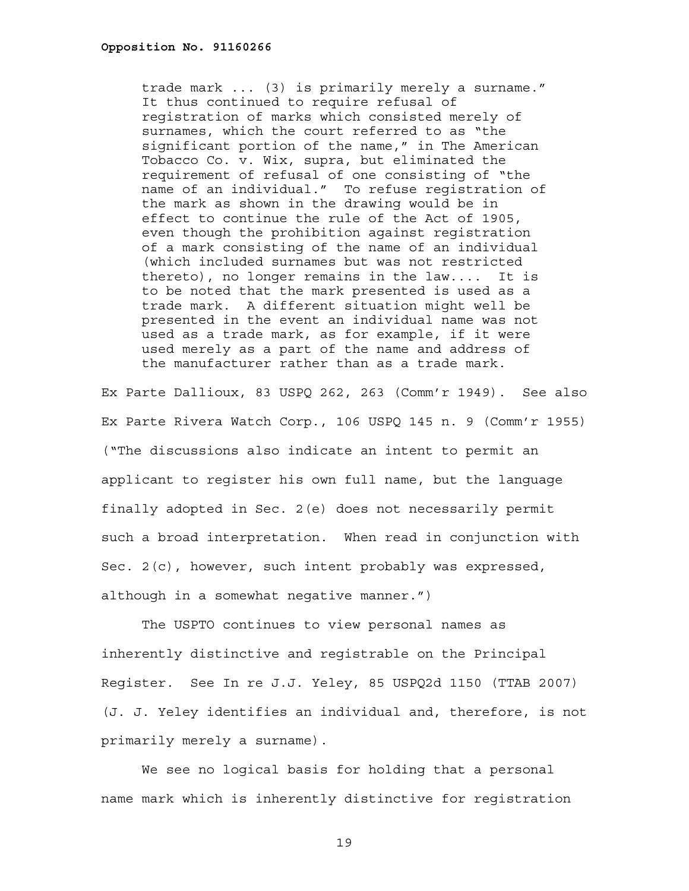trade mark ... (3) is primarily merely a surname." It thus continued to require refusal of registration of marks which consisted merely of surnames, which the court referred to as "the significant portion of the name," in The American Tobacco Co. v. Wix, supra, but eliminated the requirement of refusal of one consisting of "the name of an individual." To refuse registration of the mark as shown in the drawing would be in effect to continue the rule of the Act of 1905, even though the prohibition against registration of a mark consisting of the name of an individual (which included surnames but was not restricted thereto), no longer remains in the law.... It is to be noted that the mark presented is used as a trade mark. A different situation might well be presented in the event an individual name was not used as a trade mark, as for example, if it were used merely as a part of the name and address of the manufacturer rather than as a trade mark.

Ex Parte Dallioux, 83 USPQ 262, 263 (Comm'r 1949). See also Ex Parte Rivera Watch Corp., 106 USPQ 145 n. 9 (Comm'r 1955) ("The discussions also indicate an intent to permit an applicant to register his own full name, but the language finally adopted in Sec. 2(e) does not necessarily permit such a broad interpretation. When read in conjunction with Sec. 2(c), however, such intent probably was expressed, although in a somewhat negative manner.")

 The USPTO continues to view personal names as inherently distinctive and registrable on the Principal Register. See In re J.J. Yeley, 85 USPQ2d 1150 (TTAB 2007) (J. J. Yeley identifies an individual and, therefore, is not primarily merely a surname).

We see no logical basis for holding that a personal name mark which is inherently distinctive for registration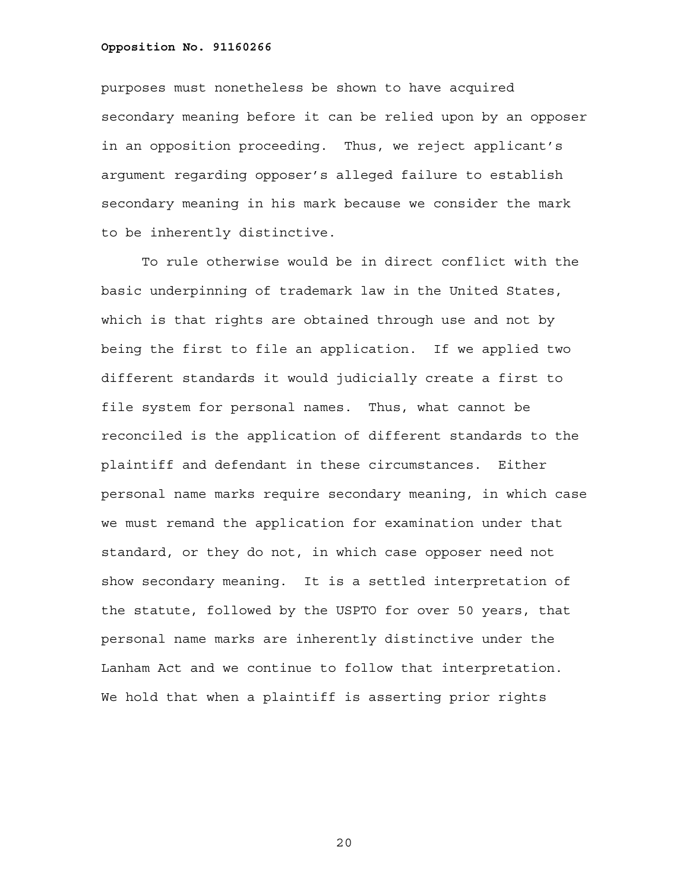purposes must nonetheless be shown to have acquired secondary meaning before it can be relied upon by an opposer in an opposition proceeding. Thus, we reject applicant's argument regarding opposer's alleged failure to establish secondary meaning in his mark because we consider the mark to be inherently distinctive.

To rule otherwise would be in direct conflict with the basic underpinning of trademark law in the United States, which is that rights are obtained through use and not by being the first to file an application. If we applied two different standards it would judicially create a first to file system for personal names. Thus, what cannot be reconciled is the application of different standards to the plaintiff and defendant in these circumstances. Either personal name marks require secondary meaning, in which case we must remand the application for examination under that standard, or they do not, in which case opposer need not show secondary meaning. It is a settled interpretation of the statute, followed by the USPTO for over 50 years, that personal name marks are inherently distinctive under the Lanham Act and we continue to follow that interpretation. We hold that when a plaintiff is asserting prior rights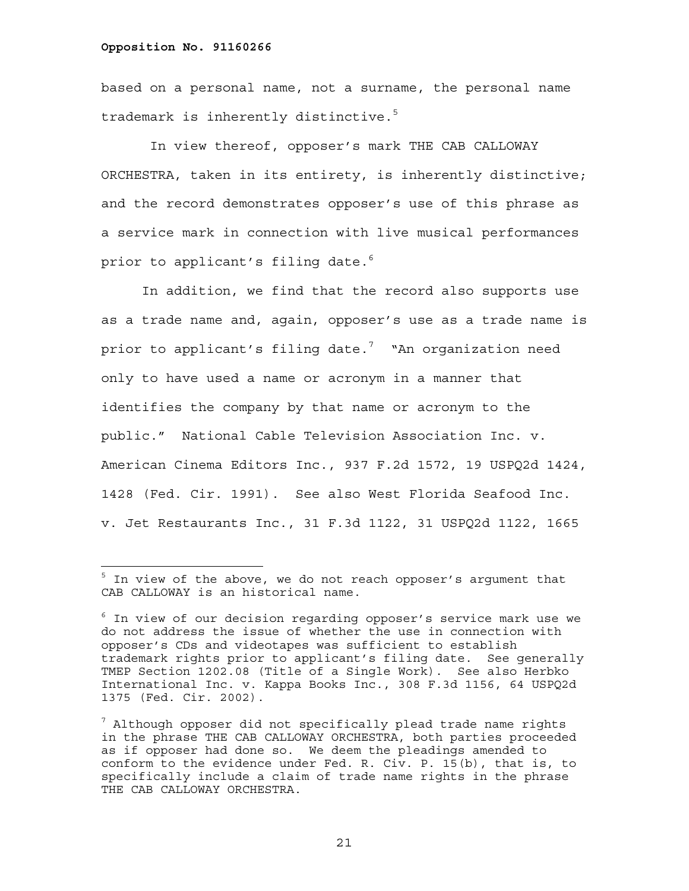—<br>—

based on a personal name, not a surname, the personal name trademark is inherently distinctive.<sup>5</sup>

 In view thereof, opposer's mark THE CAB CALLOWAY ORCHESTRA, taken in its entirety, is inherently distinctive; and the record demonstrates opposer's use of this phrase as a service mark in connection with live musical performances prior to applicant's filing date.<sup>6</sup>

In addition, we find that the record also supports use as a trade name and, again, opposer's use as a trade name is prior to applicant's filing date. $^7$  "An organization need only to have used a name or acronym in a manner that identifies the company by that name or acronym to the public." National Cable Television Association Inc. v. American Cinema Editors Inc., 937 F.2d 1572, 19 USPQ2d 1424, 1428 (Fed. Cir. 1991). See also West Florida Seafood Inc. v. Jet Restaurants Inc., 31 F.3d 1122, 31 USPQ2d 1122, 1665

 $^5$  In view of the above, we do not reach opposer's argument that CAB CALLOWAY is an historical name.

 $^6$  In view of our decision regarding opposer's service mark use we do not address the issue of whether the use in connection with opposer's CDs and videotapes was sufficient to establish trademark rights prior to applicant's filing date. See generally TMEP Section 1202.08 (Title of a Single Work). See also Herbko International Inc. v. Kappa Books Inc., 308 F.3d 1156, 64 USPQ2d 1375 (Fed. Cir. 2002).

 $^7$  Although opposer did not specifically plead trade name rights in the phrase THE CAB CALLOWAY ORCHESTRA, both parties proceeded as if opposer had done so. We deem the pleadings amended to conform to the evidence under Fed. R. Civ. P. 15(b), that is, to specifically include a claim of trade name rights in the phrase THE CAB CALLOWAY ORCHESTRA.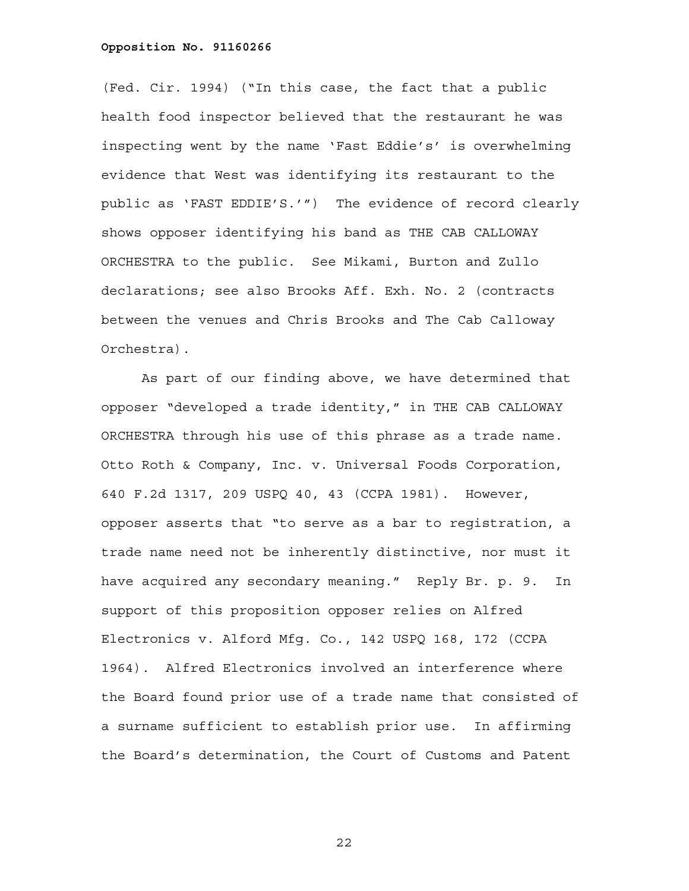(Fed. Cir. 1994) ("In this case, the fact that a public health food inspector believed that the restaurant he was inspecting went by the name 'Fast Eddie's' is overwhelming evidence that West was identifying its restaurant to the public as 'FAST EDDIE'S.'") The evidence of record clearly shows opposer identifying his band as THE CAB CALLOWAY ORCHESTRA to the public. See Mikami, Burton and Zullo declarations; see also Brooks Aff. Exh. No. 2 (contracts between the venues and Chris Brooks and The Cab Calloway Orchestra).

As part of our finding above, we have determined that opposer "developed a trade identity," in THE CAB CALLOWAY ORCHESTRA through his use of this phrase as a trade name. Otto Roth & Company, Inc. v. Universal Foods Corporation, 640 F.2d 1317, 209 USPQ 40, 43 (CCPA 1981). However, opposer asserts that "to serve as a bar to registration, a trade name need not be inherently distinctive, nor must it have acquired any secondary meaning." Reply Br. p. 9. In support of this proposition opposer relies on Alfred Electronics v. Alford Mfg. Co., 142 USPQ 168, 172 (CCPA 1964). Alfred Electronics involved an interference where the Board found prior use of a trade name that consisted of a surname sufficient to establish prior use. In affirming the Board's determination, the Court of Customs and Patent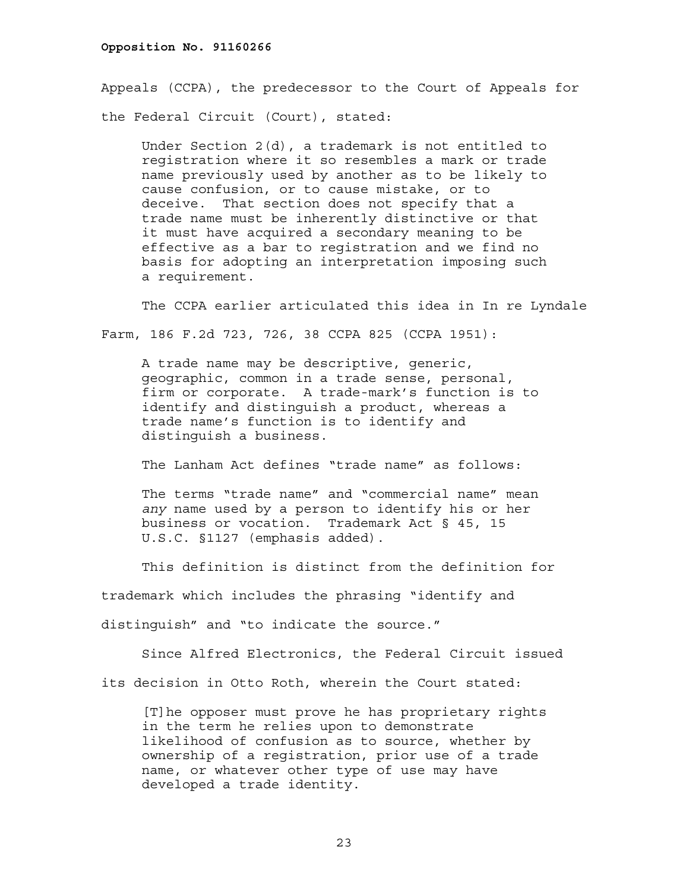Appeals (CCPA), the predecessor to the Court of Appeals for the Federal Circuit (Court), stated:

Under Section 2(d), a trademark is not entitled to registration where it so resembles a mark or trade name previously used by another as to be likely to cause confusion, or to cause mistake, or to deceive. That section does not specify that a trade name must be inherently distinctive or that it must have acquired a secondary meaning to be effective as a bar to registration and we find no basis for adopting an interpretation imposing such a requirement.

 The CCPA earlier articulated this idea in In re Lyndale Farm, 186 F.2d 723, 726, 38 CCPA 825 (CCPA 1951):

A trade name may be descriptive, generic, geographic, common in a trade sense, personal, firm or corporate. A trade-mark's function is to identify and distinguish a product, whereas a trade name's function is to identify and distinguish a business.

The Lanham Act defines "trade name" as follows:

The terms "trade name" and "commercial name" mean *any* name used by a person to identify his or her business or vocation. Trademark Act § 45, 15 U.S.C. §1127 (emphasis added).

This definition is distinct from the definition for

trademark which includes the phrasing "identify and

distinguish" and "to indicate the source."

 Since Alfred Electronics, the Federal Circuit issued its decision in Otto Roth, wherein the Court stated:

[T]he opposer must prove he has proprietary rights in the term he relies upon to demonstrate likelihood of confusion as to source, whether by ownership of a registration, prior use of a trade name, or whatever other type of use may have developed a trade identity.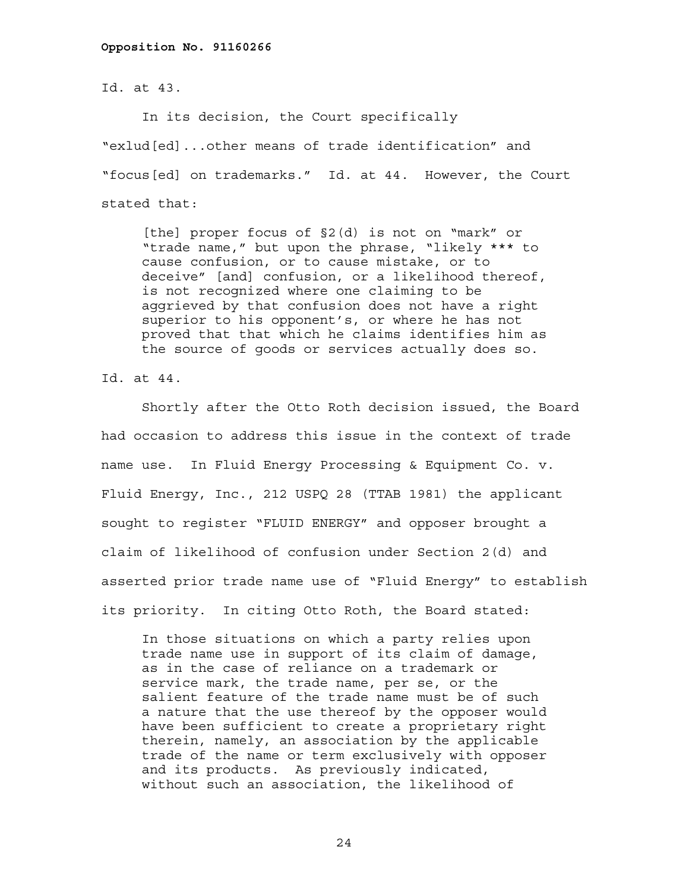Id. at 43.

In its decision, the Court specifically

"exlud[ed]...other means of trade identification" and "focus[ed] on trademarks." Id. at 44. However, the Court stated that:

[the] proper focus of §2(d) is not on "mark" or "trade name," but upon the phrase, "likely \*\*\* to cause confusion, or to cause mistake, or to deceive" [and] confusion, or a likelihood thereof, is not recognized where one claiming to be aggrieved by that confusion does not have a right superior to his opponent's, or where he has not proved that that which he claims identifies him as the source of goods or services actually does so.

Id. at 44.

 Shortly after the Otto Roth decision issued, the Board had occasion to address this issue in the context of trade name use. In Fluid Energy Processing & Equipment Co. v. Fluid Energy, Inc., 212 USPQ 28 (TTAB 1981) the applicant sought to register "FLUID ENERGY" and opposer brought a claim of likelihood of confusion under Section 2(d) and asserted prior trade name use of "Fluid Energy" to establish its priority. In citing Otto Roth, the Board stated:

In those situations on which a party relies upon trade name use in support of its claim of damage, as in the case of reliance on a trademark or service mark, the trade name, per se, or the salient feature of the trade name must be of such a nature that the use thereof by the opposer would have been sufficient to create a proprietary right therein, namely, an association by the applicable trade of the name or term exclusively with opposer and its products. As previously indicated, without such an association, the likelihood of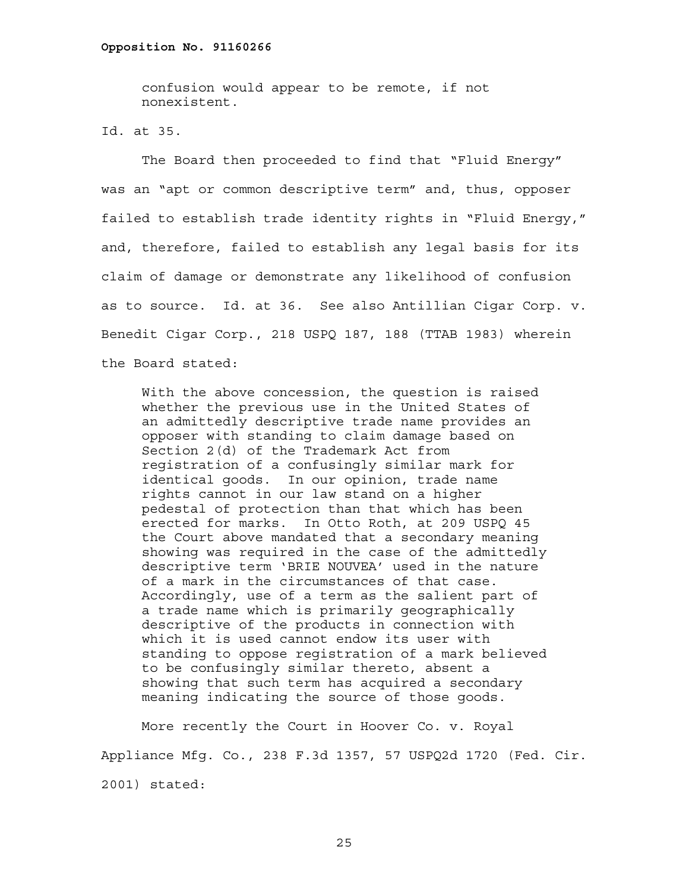confusion would appear to be remote, if not nonexistent.

Id. at 35.

 The Board then proceeded to find that "Fluid Energy" was an "apt or common descriptive term" and, thus, opposer failed to establish trade identity rights in "Fluid Energy," and, therefore, failed to establish any legal basis for its claim of damage or demonstrate any likelihood of confusion as to source. Id. at 36. See also Antillian Cigar Corp. v. Benedit Cigar Corp., 218 USPQ 187, 188 (TTAB 1983) wherein the Board stated:

With the above concession, the question is raised whether the previous use in the United States of an admittedly descriptive trade name provides an opposer with standing to claim damage based on Section 2(d) of the Trademark Act from registration of a confusingly similar mark for identical goods. In our opinion, trade name rights cannot in our law stand on a higher pedestal of protection than that which has been erected for marks. In Otto Roth, at 209 USPQ 45 the Court above mandated that a secondary meaning showing was required in the case of the admittedly descriptive term 'BRIE NOUVEA' used in the nature of a mark in the circumstances of that case. Accordingly, use of a term as the salient part of a trade name which is primarily geographically descriptive of the products in connection with which it is used cannot endow its user with standing to oppose registration of a mark believed to be confusingly similar thereto, absent a showing that such term has acquired a secondary meaning indicating the source of those goods.

 More recently the Court in Hoover Co. v. Royal Appliance Mfg. Co., 238 F.3d 1357, 57 USPQ2d 1720 (Fed. Cir. 2001) stated: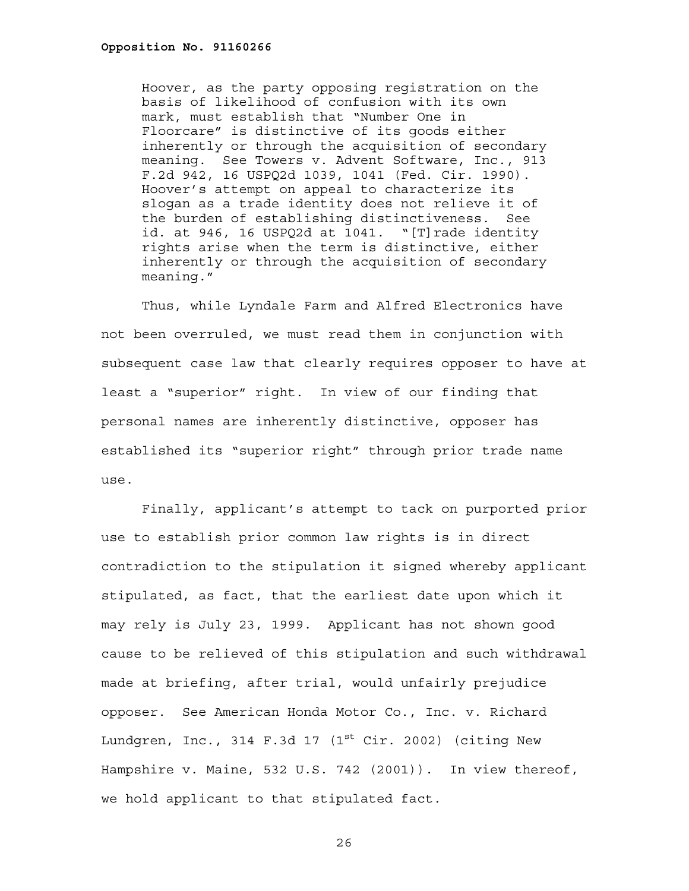Hoover, as the party opposing registration on the basis of likelihood of confusion with its own mark, must establish that "Number One in Floorcare" is distinctive of its goods either inherently or through the acquisition of secondary meaning. See Towers v. Advent Software, Inc., 913 F.2d 942, 16 USPQ2d 1039, 1041 (Fed. Cir. 1990). Hoover's attempt on appeal to characterize its slogan as a trade identity does not relieve it of the burden of establishing distinctiveness. See id. at 946, 16 USPQ2d at 1041. "[T]rade identity rights arise when the term is distinctive, either inherently or through the acquisition of secondary meaning."

 Thus, while Lyndale Farm and Alfred Electronics have not been overruled, we must read them in conjunction with subsequent case law that clearly requires opposer to have at least a "superior" right. In view of our finding that personal names are inherently distinctive, opposer has established its "superior right" through prior trade name use.

 Finally, applicant's attempt to tack on purported prior use to establish prior common law rights is in direct contradiction to the stipulation it signed whereby applicant stipulated, as fact, that the earliest date upon which it may rely is July 23, 1999. Applicant has not shown good cause to be relieved of this stipulation and such withdrawal made at briefing, after trial, would unfairly prejudice opposer. See American Honda Motor Co., Inc. v. Richard Lundgren, Inc., 314 F.3d 17  $(1<sup>st</sup> Cir. 2002)$  (citing New Hampshire v. Maine, 532 U.S. 742 (2001)). In view thereof, we hold applicant to that stipulated fact.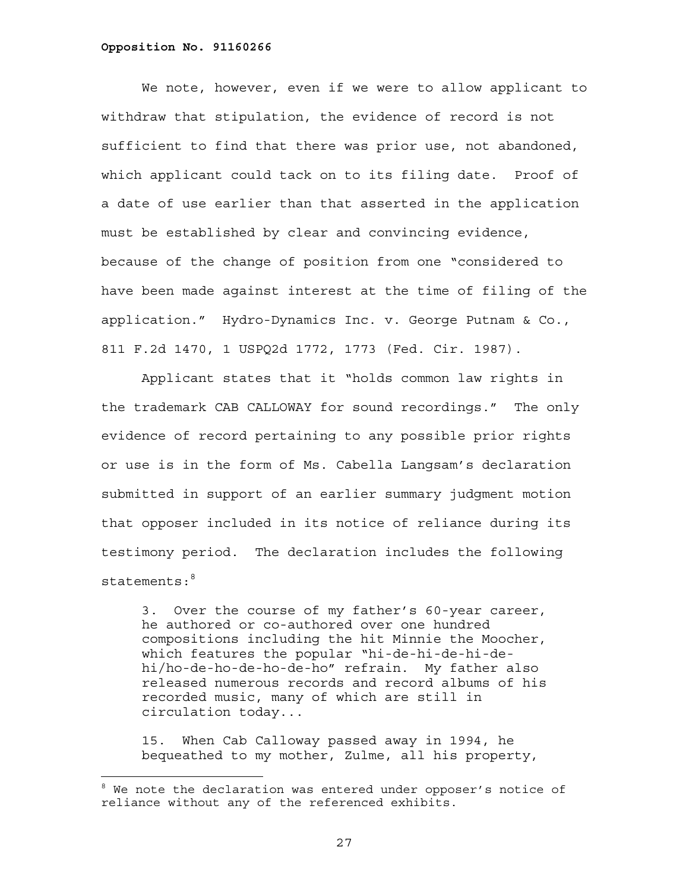We note, however, even if we were to allow applicant to withdraw that stipulation, the evidence of record is not sufficient to find that there was prior use, not abandoned, which applicant could tack on to its filing date. Proof of a date of use earlier than that asserted in the application must be established by clear and convincing evidence, because of the change of position from one "considered to have been made against interest at the time of filing of the application." Hydro-Dynamics Inc. v. George Putnam & Co., 811 F.2d 1470, 1 USPQ2d 1772, 1773 (Fed. Cir. 1987).

Applicant states that it "holds common law rights in the trademark CAB CALLOWAY for sound recordings." The only evidence of record pertaining to any possible prior rights or use is in the form of Ms. Cabella Langsam's declaration submitted in support of an earlier summary judgment motion that opposer included in its notice of reliance during its testimony period. The declaration includes the following  $stat$ ements: $8<sup>8</sup>$ 

3. Over the course of my father's 60-year career, he authored or co-authored over one hundred compositions including the hit Minnie the Moocher, which features the popular "hi-de-hi-de-hi-dehi/ho-de-ho-de-ho-de-ho" refrain. My father also released numerous records and record albums of his recorded music, many of which are still in circulation today...

15. When Cab Calloway passed away in 1994, he bequeathed to my mother, Zulme, all his property,

<sup>&</sup>lt;sup>8</sup> We note the declaration was entered under opposer's notice of reliance without any of the referenced exhibits.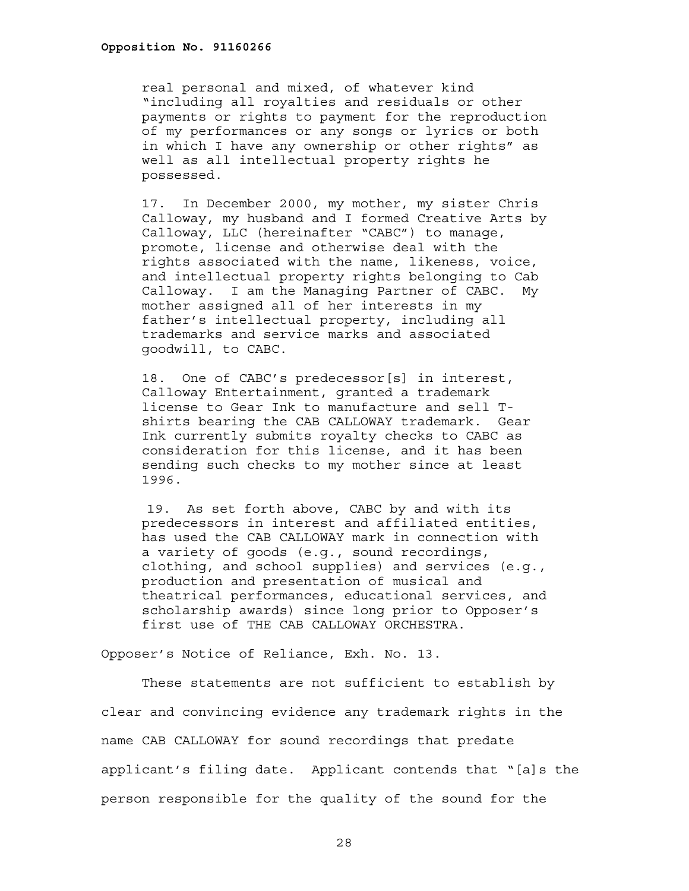real personal and mixed, of whatever kind "including all royalties and residuals or other payments or rights to payment for the reproduction of my performances or any songs or lyrics or both in which I have any ownership or other rights" as well as all intellectual property rights he possessed.

17. In December 2000, my mother, my sister Chris Calloway, my husband and I formed Creative Arts by Calloway, LLC (hereinafter "CABC") to manage, promote, license and otherwise deal with the rights associated with the name, likeness, voice, and intellectual property rights belonging to Cab Calloway. I am the Managing Partner of CABC. My mother assigned all of her interests in my father's intellectual property, including all trademarks and service marks and associated goodwill, to CABC.

18. One of CABC's predecessor[s] in interest, Calloway Entertainment, granted a trademark license to Gear Ink to manufacture and sell Tshirts bearing the CAB CALLOWAY trademark. Gear Ink currently submits royalty checks to CABC as consideration for this license, and it has been sending such checks to my mother since at least 1996.

19. As set forth above, CABC by and with its predecessors in interest and affiliated entities, has used the CAB CALLOWAY mark in connection with a variety of goods (e.g., sound recordings, clothing, and school supplies) and services (e.g., production and presentation of musical and theatrical performances, educational services, and scholarship awards) since long prior to Opposer's first use of THE CAB CALLOWAY ORCHESTRA.

Opposer's Notice of Reliance, Exh. No. 13.

These statements are not sufficient to establish by clear and convincing evidence any trademark rights in the name CAB CALLOWAY for sound recordings that predate applicant's filing date. Applicant contends that "[a]s the person responsible for the quality of the sound for the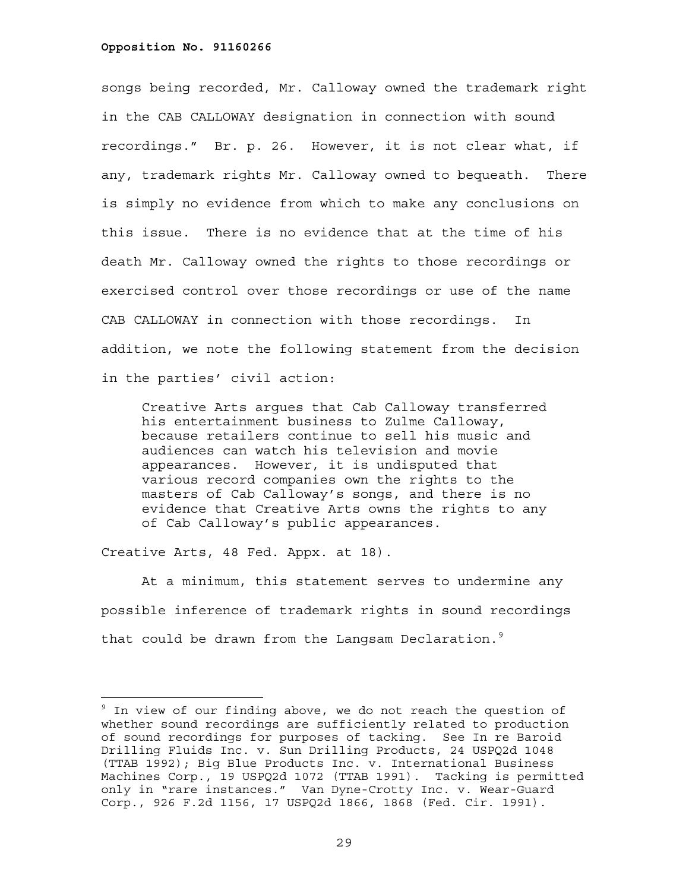songs being recorded, Mr. Calloway owned the trademark right in the CAB CALLOWAY designation in connection with sound recordings." Br. p. 26. However, it is not clear what, if any, trademark rights Mr. Calloway owned to bequeath. There is simply no evidence from which to make any conclusions on this issue. There is no evidence that at the time of his death Mr. Calloway owned the rights to those recordings or exercised control over those recordings or use of the name CAB CALLOWAY in connection with those recordings. In addition, we note the following statement from the decision in the parties' civil action:

Creative Arts argues that Cab Calloway transferred his entertainment business to Zulme Calloway, because retailers continue to sell his music and audiences can watch his television and movie appearances. However, it is undisputed that various record companies own the rights to the masters of Cab Calloway's songs, and there is no evidence that Creative Arts owns the rights to any of Cab Calloway's public appearances.

Creative Arts, 48 Fed. Appx. at 18).

i<br>L

At a minimum, this statement serves to undermine any possible inference of trademark rights in sound recordings that could be drawn from the Langsam Declaration. $^9$ 

<sup>&</sup>lt;sup>9</sup> In view of our finding above, we do not reach the question of whether sound recordings are sufficiently related to production of sound recordings for purposes of tacking. See In re Baroid Drilling Fluids Inc. v. Sun Drilling Products, 24 USPQ2d 1048 (TTAB 1992); Big Blue Products Inc. v. International Business Machines Corp., 19 USPQ2d 1072 (TTAB 1991). Tacking is permitted only in "rare instances." Van Dyne-Crotty Inc. v. Wear-Guard Corp., 926 F.2d 1156, 17 USPQ2d 1866, 1868 (Fed. Cir. 1991).